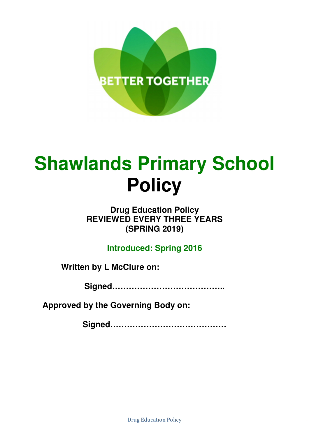

# **Shawlands Primary School Policy**

# **Drug Education Policy REVIEWED EVERY THREE YEARS (SPRING 2019)**

**Introduced: Spring 2016** 

**Written by L McClure on:** 

**Signed…………………………………..** 

**Approved by the Governing Body on:** 

**Signed……………………………………**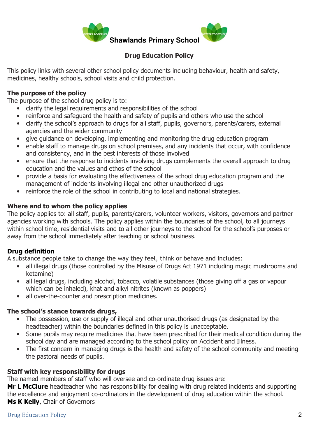

# Drug Education Policy

This policy links with several other school policy documents including behaviour, health and safety, medicines, healthy schools, school visits and child protection.

# The purpose of the policy

The purpose of the school drug policy is to:

- clarify the legal requirements and responsibilities of the school
- reinforce and safeguard the health and safety of pupils and others who use the school
- clarify the school's approach to drugs for all staff, pupils, governors, parents/carers, external agencies and the wider community
- give guidance on developing, implementing and monitoring the drug education program
- enable staff to manage drugs on school premises, and any incidents that occur, with confidence and consistency, and in the best interests of those involved
- ensure that the response to incidents involving drugs complements the overall approach to drug education and the values and ethos of the school
- provide a basis for evaluating the effectiveness of the school drug education program and the management of incidents involving illegal and other unauthorized drugs
- reinforce the role of the school in contributing to local and national strategies.

# Where and to whom the policy applies

The policy applies to: all staff, pupils, parents/carers, volunteer workers, visitors, governors and partner agencies working with schools. The policy applies within the boundaries of the school, to all journeys within school time, residential visits and to all other journeys to the school for the school's purposes or away from the school immediately after teaching or school business.

# Drug definition

A substance people take to change the way they feel, think or behave and includes:

- all illegal drugs (those controlled by the Misuse of Drugs Act 1971 including magic mushrooms and ketamine)
- all legal drugs, including alcohol, tobacco, volatile substances (those giving off a gas or vapour which can be inhaled), khat and alkyl nitrites (known as poppers)
- all over-the-counter and prescription medicines.

#### The school's stance towards drugs,

- The possession, use or supply of illegal and other unauthorised drugs (as designated by the headteacher) within the boundaries defined in this policy is unacceptable.
- Some pupils may require medicines that have been prescribed for their medical condition during the school day and are managed according to the school policy on Accident and Illness.
- The first concern in managing drugs is the health and safety of the school community and meeting the pastoral needs of pupils.

#### Staff with key responsibility for drugs

The named members of staff who will oversee and co-ordinate drug issues are:

Mr L McClure headteacher who has responsibility for dealing with drug related incidents and supporting the excellence and enjoyment co-ordinators in the development of drug education within the school. Ms K Kelly, Chair of Governors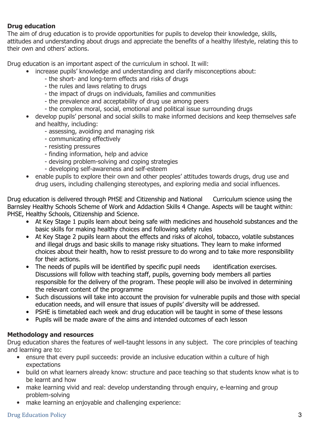# Drug education

The aim of drug education is to provide opportunities for pupils to develop their knowledge, skills, attitudes and understanding about drugs and appreciate the benefits of a healthy lifestyle, relating this to their own and others' actions.

Drug education is an important aspect of the curriculum in school. It will:

- increase pupils' knowledge and understanding and clarify misconceptions about:
	- the short- and long-term effects and risks of drugs
	- the rules and laws relating to drugs
	- the impact of drugs on individuals, families and communities
	- the prevalence and acceptability of drug use among peers
	- the complex moral, social, emotional and political issue surrounding drugs
- develop pupils' personal and social skills to make informed decisions and keep themselves safe and healthy, including:
	- assessing, avoiding and managing risk
	- communicating effectively
	- resisting pressures
	- finding information, help and advice
	- devising problem-solving and coping strategies
	- developing self-awareness and self-esteem
- enable pupils to explore their own and other peoples' attitudes towards drugs, drug use and drug users, including challenging stereotypes, and exploring media and social influences.

Drug education is delivered through PHSE and Citizenship and National Curriculum science using the Barnsley Healthy Schools Scheme of Work and Addaction Skills 4 Change. Aspects will be taught within: PHSE, Healthy Schools, Citizenship and Science.

- At Key Stage 1 pupils learn about being safe with medicines and household substances and the basic skills for making healthy choices and following safety rules
- At Key Stage 2 pupils learn about the effects and risks of alcohol, tobacco, volatile substances and illegal drugs and basic skills to manage risky situations. They learn to make informed choices about their health, how to resist pressure to do wrong and to take more responsibility for their actions.
- The needs of pupils will be identified by specific pupil needs identification exercises. Discussions will follow with teaching staff, pupils, governing body members all parties responsible for the delivery of the program. These people will also be involved in determining the relevant content of the programme
- Such discussions will take into account the provision for vulnerable pupils and those with special education needs, and will ensure that issues of pupils' diversity will be addressed.
- PSHE is timetabled each week and drug education will be taught in some of these lessons
- Pupils will be made aware of the aims and intended outcomes of each lesson

# Methodology and resources

Drug education shares the features of well-taught lessons in any subject. The core principles of teaching and learning are to:

- ensure that every pupil succeeds: provide an inclusive education within a culture of high expectations
- build on what learners already know: structure and pace teaching so that students know what is to be learnt and how
- make learning vivid and real: develop understanding through enguiry, e-learning and group problem-solving
- make learning an enjoyable and challenging experience:

#### Drug Education Policy 3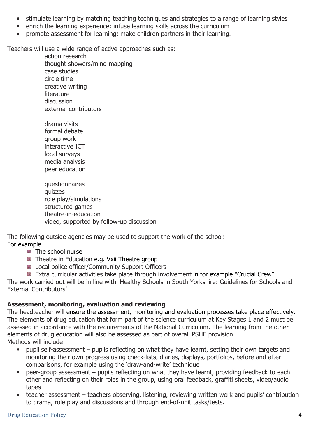- stimulate learning by matching teaching techniques and strategies to a range of learning styles
- enrich the learning experience: infuse learning skills across the curriculum
- promote assessment for learning: make children partners in their learning.

Teachers will use a wide range of active approaches such as:

action research thought showers/mind-mapping case studies circle time creative writing literature discussion external contributors

drama visits formal debate group work interactive ICT local surveys media analysis peer education

questionnaires quizzes role play/simulations structured games theatre-in-education video, supported by follow-up discussion

The following outside agencies may be used to support the work of the school: For example

- The school nurse
- Theatre in Education e.g. Vxii Theatre group
- **Local police officer/Community Support Officers**
- **EXTREM** Extra curricular activities take place through involvement in for example "Crucial Crew".

The work carried out will be in line with 'Healthy Schools in South Yorkshire: Guidelines for Schools and External Contributors'

# Assessment, monitoring, evaluation and reviewing

The headteacher will ensure the assessment, monitoring and evaluation processes take place effectively. The elements of drug education that form part of the science curriculum at Key Stages 1 and 2 must be assessed in accordance with the requirements of the National Curriculum. The learning from the other elements of drug education will also be assessed as part of overall PSHE provision. Methods will include:

- pupil self-assessment pupils reflecting on what they have learnt, setting their own targets and monitoring their own progress using check-lists, diaries, displays, portfolios, before and after comparisons, for example using the 'draw-and-write' technique
- peer-group assessment pupils reflecting on what they have learnt, providing feedback to each other and reflecting on their roles in the group, using oral feedback, graffiti sheets, video/audio tapes
- teacher assessment teachers observing, listening, reviewing written work and pupils' contribution to drama, role play and discussions and through end-of-unit tasks/tests.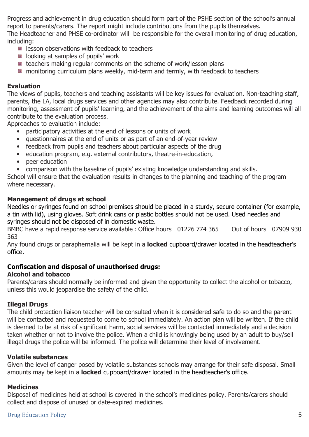Progress and achievement in drug education should form part of the PSHE section of the school's annual report to parents/carers. The report might include contributions from the pupils themselves. The Headteacher and PHSE co-ordinator will be responsible for the overall monitoring of drug education, including:

- **E** lesson observations with feedback to teachers
- **EX looking at samples of pupils' work**
- teachers making regular comments on the scheme of work/lesson plans
- **EX** monitoring curriculum plans weekly, mid-term and termly, with feedback to teachers

# Evaluation

The views of pupils, teachers and teaching assistants will be key issues for evaluation. Non-teaching staff, parents, the LA, local drugs services and other agencies may also contribute. Feedback recorded during monitoring, assessment of pupils' learning, and the achievement of the aims and learning outcomes will all contribute to the evaluation process.

Approaches to evaluation include:

- participatory activities at the end of lessons or units of work
- questionnaires at the end of units or as part of an end-of-year review
- feedback from pupils and teachers about particular aspects of the drug
- education program, e.g. external contributors, theatre-in-education,
- peer education
- comparison with the baseline of pupils' existing knowledge understanding and skills.

School will ensure that the evaluation results in changes to the planning and teaching of the program where necessary.

# Management of drugs at school

Needles or syringes found on school premises should be placed in a sturdy, secure container (for example, a tin with lid), using gloves. Soft drink cans or plastic bottles should not be used. Used needles and syringes should not be disposed of in domestic waste.

BMBC have a rapid response service available : Office hours 01226 774 365 Out of hours 07909 930 363

Any found drugs or paraphernalia will be kept in a **locked** cupboard/drawer located in the headteacher's office.

# Confiscation and disposal of unauthorised drugs:

# Alcohol and tobacco

Parents/carers should normally be informed and given the opportunity to collect the alcohol or tobacco, unless this would jeopardise the safety of the child.

# Illegal Drugs

The child protection liaison teacher will be consulted when it is considered safe to do so and the parent will be contacted and requested to come to school immediately. An action plan will be written. If the child is deemed to be at risk of significant harm, social services will be contacted immediately and a decision taken whether or not to involve the police. When a child is knowingly being used by an adult to buy/sell illegal drugs the police will be informed. The police will determine their level of involvement.

# Volatile substances

Given the level of danger posed by volatile substances schools may arrange for their safe disposal. Small amounts may be kept in a **locked** cupboard/drawer located in the headteacher's office.

# **Medicines**

Disposal of medicines held at school is covered in the school's medicines policy. Parents/carers should collect and dispose of unused or date-expired medicines.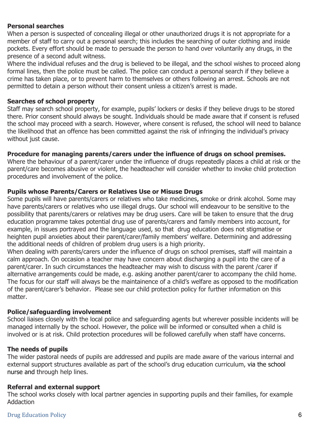#### Personal searches

When a person is suspected of concealing illegal or other unauthorized drugs it is not appropriate for a member of staff to carry out a personal search; this includes the searching of outer clothing and inside pockets. Every effort should be made to persuade the person to hand over voluntarily any drugs, in the presence of a second adult witness.

Where the individual refuses and the drug is believed to be illegal, and the school wishes to proceed along formal lines, then the police must be called. The police can conduct a personal search if they believe a crime has taken place, or to prevent harm to themselves or others following an arrest. Schools are not permitted to detain a person without their consent unless a citizen's arrest is made.

#### Searches of school property

Staff may search school property, for example, pupils' lockers or desks if they believe drugs to be stored there. Prior consent should always be sought. Individuals should be made aware that if consent is refused the school may proceed with a search. However, where consent is refused, the school will need to balance the likelihood that an offence has been committed against the risk of infringing the individual's privacy without just cause.

#### Procedure for managing parents/carers under the influence of drugs on school premises.

Where the behaviour of a parent/carer under the influence of drugs repeatedly places a child at risk or the parent/care becomes abusive or violent, the headteacher will consider whether to invoke child protection procedures and involvement of the police.

#### Pupils whose Parents/Carers or Relatives Use or Misuse Drugs

Some pupils will have parents/carers or relatives who take medicines, smoke or drink alcohol. Some may have parents/carers or relatives who use illegal drugs. Our school will endeavour to be sensitive to the possibility that parents/carers or relatives may be drug users. Care will be taken to ensure that the drug education programme takes potential drug use of parents/carers and family members into account, for example, in issues portrayed and the language used, so that drug education does not stigmatise or heighten pupil anxieties about their parent/carer/family members' welfare. Determining and addressing the additional needs of children of problem drug users is a high priority.

When dealing with parents/carers under the influence of drugs on school premises, staff will maintain a calm approach. On occasion a teacher may have concern about discharging a pupil into the care of a parent/carer. In such circumstances the headteacher may wish to discuss with the parent /carer if alternative arrangements could be made, e.g. asking another parent/carer to accompany the child home. The focus for our staff will always be the maintainence of a child's welfare as opposed to the modification of the parent/carer's behavior. Please see our child protection policy for further information on this matter.

#### Police/safeguarding involvement

School liaises closely with the local police and safeguarding agents but wherever possible incidents will be managed internally by the school. However, the police will be informed or consulted when a child is involved or is at risk. Child protection procedures will be followed carefully when staff have concerns.

#### The needs of pupils

The wider pastoral needs of pupils are addressed and pupils are made aware of the various internal and external support structures available as part of the school's drug education curriculum, via the school nurse and through help lines.

#### Referral and external support

The school works closely with local partner agencies in supporting pupils and their families, for example Addaction